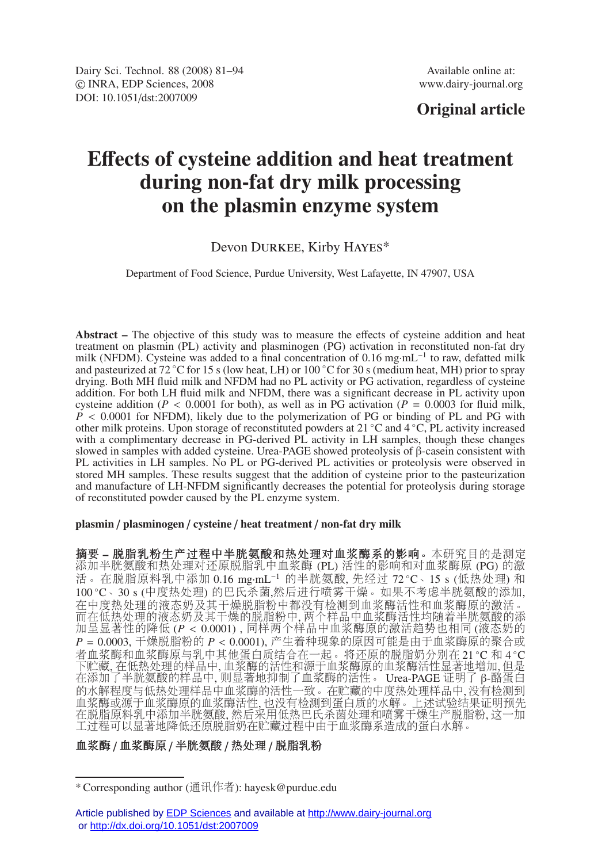## **Original article**

# **E**ff**ects of cysteine addition and heat treatment during non-fat dry milk processing on the plasmin enzyme system**

### Devon Durkee, Kirby Hayes\*

Department of Food Science, Purdue University, West Lafayette, IN 47907, USA

**Abstract –** The objective of this study was to measure the effects of cysteine addition and heat treatment on plasmin (PL) activity and plasminogen (PG) activation in reconstituted non-fat dry milk (NFDM). Cysteine was added to a final concentration of 0.16 mg·mL<sup>-1</sup> to raw, defatted milk and pasteurized at 72 °C for 15 s (low heat, LH) or 100 °C for 30 s (medium heat, MH) prior to spray drying. Both MH fluid milk and NFDM had no PL activity or PG activation, regardless of cysteine addition. For both LH fluid milk and NFDM, there was a significant decrease in PL activity upon cysteine addition ( $P < 0.0001$  for both), as well as in PG activation ( $P = 0.0003$  for fluid milk,  $P < 0.0001$  for NFDM), likely due to the polymerization of PG or binding of PL and PG with  $P < 0.0001$  for NFDM), likely due to the polymerization of PG or binding of PL and PG with other milk proteins. Upon storage of reconstituted powders at 21 °C and 4 °C, PL activity increased with a complimentary decrease in PG-derived PL activity in LH samples, though these changes slowed in samples with added cysteine. Urea-PAGE showed proteolysis of β-casein consistent with PL activities in LH samples. No PL or PG-derived PL activities or proteolysis were observed in stored MH samples. These results suggest that the addition of cysteine prior to the pasteurization and manufacture of LH-NFDM significantly decreases the potential for proteolysis during storage of reconstituted powder caused by the PL enzyme system.

#### **plasmin** / **plasminogen** / **cysteine** / **heat treatment** / **non-fat dry milk**

摘要 **–** 脱脂乳粉生产过程中半胱氨酸和热处理对血浆酶系的影响。本研究目的是测定 添加半胱氨酸和热处理对还原脱脂乳中血浆酶 (PL) 活性的影响和对血浆酶原 (PG) 的激 活。在脱脂原料乳中添加 0.16 mg·mL−<sup>1</sup> 的半胱氨酸, 先经过 72 ◦C、15 s (低热处理) 和 100 ◦C、30 s (中度热处理) 的巴氏杀菌,然后进行喷雾干燥。如果不考虑半胱氨酸的添加, 在中度热处理的液态奶及其干燥脱脂粉中都没有检测到血浆酶活性和血浆酶原的激活。 而在低热处理的液态奶及其干燥的脱脂粉中, 两个样品中血浆酶活性均随着半胱氨酸的添 加呈显著性的降低 (P < 0.0001) , 同样两个样品中血浆酶原的激活趋势也相同 (液态奶的<br>P = 0.0003, 干燥脱脂粉的 P < 0.0001), 产生着种现象的原因可能是由于血浆酶原的聚合或 *<sup>P</sup>* <sup>=</sup> <sup>0</sup>.0003, <sup>干</sup>燥脱脂粉<sup>的</sup> *<sup>P</sup>* < <sup>0</sup>.0001), <sup>产</sup>生着种现象的原因可能是由于血浆酶原的聚合<sup>或</sup> 者血浆酶和血浆酶原与乳中其他蛋白质结合在一起。将还原的脱脂奶分别在 21 ◦C 和 4 ◦C 下贮藏, 在低热处理的样品中, 血浆酶的活性和源于血浆酶原的血浆酶活性显著地增加,但是 在添加了半胱氨酸的样品中, 则显著地抑制了血浆酶的活性。 Urea-PAGE 证明了 β-酪蛋白 的水解程度与低热处理样品中血浆酶的活性一致。在贮藏的中度热处理样品中,没有检测到 血浆酶或源于血浆酶原的血浆酶活性, 也没有检测到蛋白质的水解。上述试验结果证明预先 在脱脂原料乳中添加半胱氨酸, 然后采用低热巴氏杀菌处理和喷雾干燥生产脱脂粉, 这一加 工过程可以显著地降低还原脱脂奶在贮藏过程中由于血浆酶系造成的蛋白水解。

#### 血浆酶 / 血浆酶原 / 半胱氨酸 / 热处理 / 脱脂乳粉

<sup>\*</sup> Corresponding author (通讯作者): hayesk@purdue.edu

Article published by **EDP Sciences** and available at <http://www.dairy-journal.org> or<http://dx.doi.org/10.1051/dst:2007009>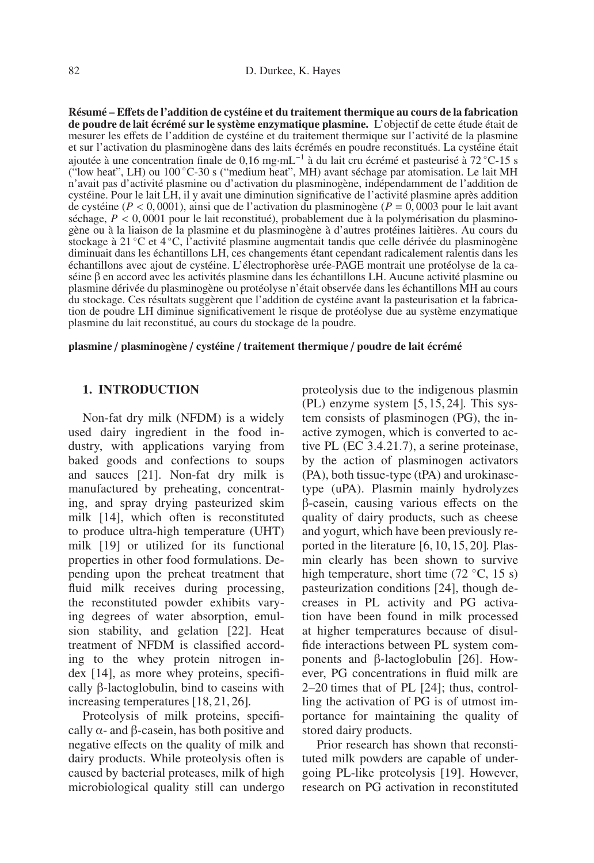**Résumé – E**ff**ets de l'addition de cystéine et du traitement thermique au cours de la fabrication de poudre de lait écrémé sur le système enzymatique plasmine.** L'objectif de cette étude était de mesurer les effets de l'addition de cystéine et du traitement thermique sur l'activité de la plasmine et sur l'activation du plasminogène dans des laits écrémés en poudre reconstitués. La cystéine était ajoutée à une concentration finale de 0,16 mg·mL<sup>-1</sup> à du lait cru écrémé et pasteurisé à 72 °C-15 s<br>("low heat", LH) ou 100 °C-30 s ("medium heat", MH) avant séchage par atomisation. Le lait MH n'avait pas d'activité plasmine ou d'activation du plasminogène, indépendamment de l'addition de cystéine. Pour le lait LH, il y avait une diminution significative de l'activité plasmine après addition de cystéine (*<sup>P</sup>* < <sup>0</sup>, 0001), ainsi que de l'activation du plasminogène (*<sup>P</sup>* <sup>=</sup> <sup>0</sup>, 0003 pour le lait avant séchage,  $P < 0,0001$  pour le lait reconstitué), probablement due à la polymérisation du plasminogène ou à la liaison de la plasmine et du plasminogène à d'autres protéines laitières. Au cours du stockage à 21 ◦C et 4 ◦C, l'activité plasmine augmentait tandis que celle dérivée du plasminogène diminuait dans les échantillons LH, ces changements étant cependant radicalement ralentis dans les échantillons avec ajout de cystéine. L'électrophorèse urée-PAGE montrait une protéolyse de la caséine β en accord avec les activités plasmine dans les échantillons LH. Aucune activité plasmine ou plasmine dérivée du plasminogène ou protéolyse n'était observée dans les échantillons MH au cours du stockage. Ces résultats suggèrent que l'addition de cystéine avant la pasteurisation et la fabrication de poudre LH diminue significativement le risque de protéolyse due au système enzymatique plasmine du lait reconstitué, au cours du stockage de la poudre.

**plasmine** / **plasminogène** / **cystéine** / **traitement thermique** / **poudre de lait écrémé**

#### **1. INTRODUCTION**

Non-fat dry milk (NFDM) is a widely used dairy ingredient in the food industry, with applications varying from baked goods and confections to soups and sauces [21]. Non-fat dry milk is manufactured by preheating, concentrating, and spray drying pasteurized skim milk [14], which often is reconstituted to produce ultra-high temperature (UHT) milk [19] or utilized for its functional properties in other food formulations. Depending upon the preheat treatment that fluid milk receives during processing, the reconstituted powder exhibits varying degrees of water absorption, emulsion stability, and gelation [22]. Heat treatment of NFDM is classified according to the whey protein nitrogen index [14], as more whey proteins, specifically β-lactoglobulin, bind to caseins with increasing temperatures [18, 21, 26].

Proteolysis of milk proteins, specifically  $\alpha$ - and  $\beta$ -casein, has both positive and negative effects on the quality of milk and dairy products. While proteolysis often is caused by bacterial proteases, milk of high microbiological quality still can undergo proteolysis due to the indigenous plasmin (PL) enzyme system [5, 15, 24]. This system consists of plasminogen (PG), the inactive zymogen, which is converted to active PL (EC 3.4.21.7), a serine proteinase, by the action of plasminogen activators (PA), both tissue-type (tPA) and urokinasetype (uPA). Plasmin mainly hydrolyzes β-casein, causing various effects on the quality of dairy products, such as cheese and yogurt, which have been previously reported in the literature [6, 10, 15, 20]. Plasmin clearly has been shown to survive high temperature, short time  $(72 \degree C, 15 \degree s)$ pasteurization conditions [24], though decreases in PL activity and PG activation have been found in milk processed at higher temperatures because of disulfide interactions between PL system components and β-lactoglobulin [26]. However, PG concentrations in fluid milk are 2–20 times that of PL [24]; thus, controlling the activation of PG is of utmost importance for maintaining the quality of stored dairy products.

Prior research has shown that reconstituted milk powders are capable of undergoing PL-like proteolysis [19]. However, research on PG activation in reconstituted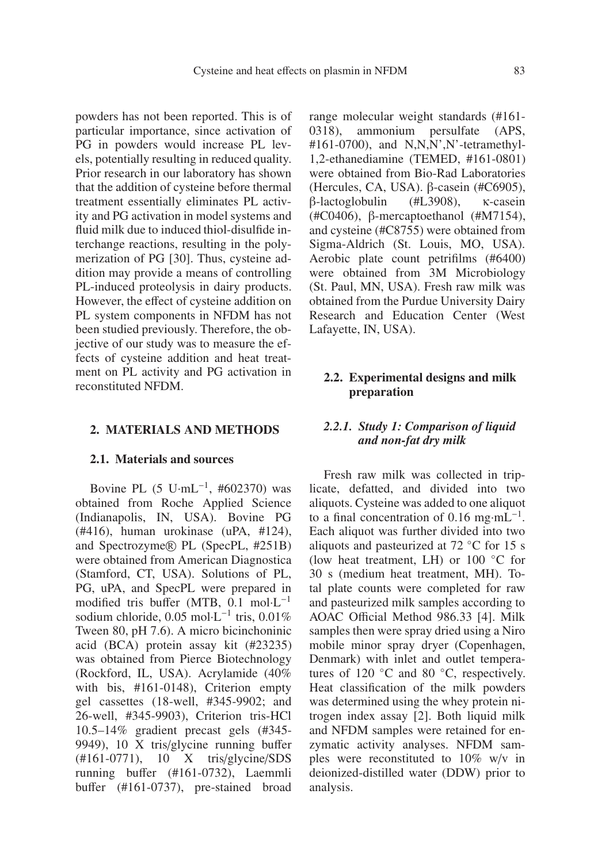powders has not been reported. This is of particular importance, since activation of PG in powders would increase PL levels, potentially resulting in reduced quality. Prior research in our laboratory has shown that the addition of cysteine before thermal treatment essentially eliminates PL activity and PG activation in model systems and fluid milk due to induced thiol-disulfide interchange reactions, resulting in the polymerization of PG [30]. Thus, cysteine addition may provide a means of controlling PL-induced proteolysis in dairy products. However, the effect of cysteine addition on PL system components in NFDM has not been studied previously. Therefore, the objective of our study was to measure the effects of cysteine addition and heat treatment on PL activity and PG activation in reconstituted NFDM.

#### **2. MATERIALS AND METHODS**

#### **2.1. Materials and sources**

Bovine PL (5 U·mL−1, #602370) was obtained from Roche Applied Science (Indianapolis, IN, USA). Bovine PG (#416), human urokinase (uPA, #124), and Spectrozyme® PL (SpecPL, #251B) were obtained from American Diagnostica (Stamford, CT, USA). Solutions of PL, PG, uPA, and SpecPL were prepared in modified tris buffer (MTB, 0.1 mol·L−<sup>1</sup> sodium chloride, 0.05 mol·L<sup>-1</sup> tris, 0.01% Tween 80, pH 7.6). A micro bicinchoninic acid (BCA) protein assay kit (#23235) was obtained from Pierce Biotechnology (Rockford, IL, USA). Acrylamide (40% with bis, #161-0148), Criterion empty gel cassettes (18-well, #345-9902; and 26-well, #345-9903), Criterion tris-HCl 10.5–14% gradient precast gels (#345- 9949), 10 X tris/glycine running buffer (#161-0771), 10 X tris/glycine/SDS running buffer (#161-0732), Laemmli buffer (#161-0737), pre-stained broad range molecular weight standards (#161- 0318), ammonium persulfate (APS, #161-0700), and N,N,N',N'-tetramethyl-1,2-ethanediamine (TEMED, #161-0801) were obtained from Bio-Rad Laboratories (Hercules, CA, USA). β-casein (#C6905), β-lactoglobulin (#L3908), κ-casein (#C0406), β-mercaptoethanol (#M7154), and cysteine (#C8755) were obtained from Sigma-Aldrich (St. Louis, MO, USA). Aerobic plate count petrifilms (#6400) were obtained from 3M Microbiology (St. Paul, MN, USA). Fresh raw milk was obtained from the Purdue University Dairy Research and Education Center (West Lafayette, IN, USA).

#### **2.2. Experimental designs and milk preparation**

#### *2.2.1. Study 1: Comparison of liquid and non-fat dry milk*

Fresh raw milk was collected in triplicate, defatted, and divided into two aliquots. Cysteine was added to one aliquot to a final concentration of  $0.16 \text{ mg} \cdot \text{mL}^{-1}$ . Each aliquot was further divided into two aliquots and pasteurized at  $72 \text{ °C}$  for 15 s (low heat treatment, LH) or  $100\degree\text{C}$  for 30 s (medium heat treatment, MH). Total plate counts were completed for raw and pasteurized milk samples according to AOAC Official Method 986.33 [4]. Milk samples then were spray dried using a Niro mobile minor spray dryer (Copenhagen, Denmark) with inlet and outlet temperatures of 120 ◦C and 80 ◦C, respectively. Heat classification of the milk powders was determined using the whey protein nitrogen index assay [2]. Both liquid milk and NFDM samples were retained for enzymatic activity analyses. NFDM samples were reconstituted to 10% w/v in deionized-distilled water (DDW) prior to analysis.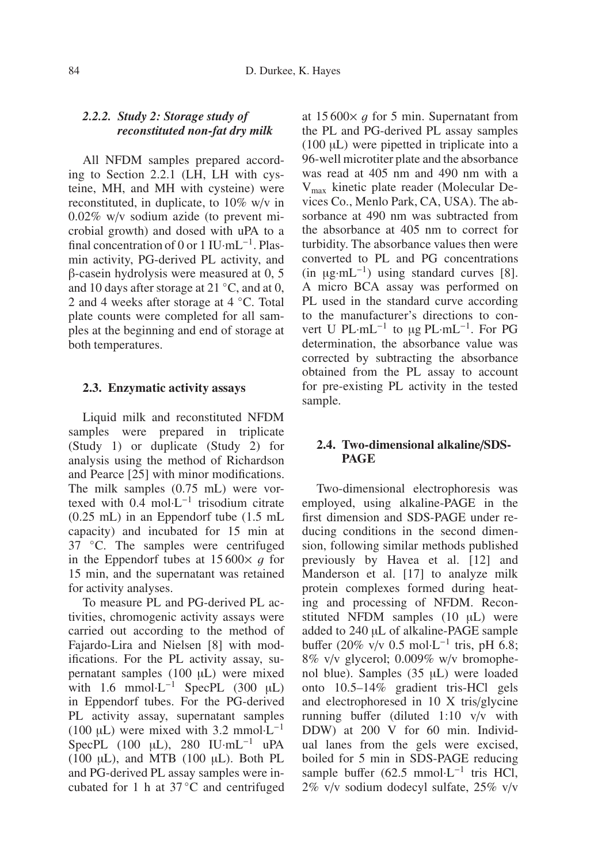#### *2.2.2. Study 2: Storage study of reconstituted non-fat dry milk*

All NFDM samples prepared according to Section 2.2.1 (LH, LH with cysteine, MH, and MH with cysteine) were reconstituted, in duplicate, to 10% w/v in 0.02% w/v sodium azide (to prevent microbial growth) and dosed with uPA to a final concentration of 0 or 1 IU·mL−1. Plasmin activity, PG-derived PL activity, and β-casein hydrolysis were measured at 0, 5 and 10 days after storage at 21 ◦C, and at 0, 2 and 4 weeks after storage at 4 ◦C. Total plate counts were completed for all samples at the beginning and end of storage at both temperatures.

#### **2.3. Enzymatic activity assays**

Liquid milk and reconstituted NFDM samples were prepared in triplicate (Study 1) or duplicate (Study 2) for analysis using the method of Richardson and Pearce [25] with minor modifications. The milk samples (0.75 mL) were vortexed with 0.4 mol·L−<sup>1</sup> trisodium citrate (0.25 mL) in an Eppendorf tube (1.5 mL capacity) and incubated for 15 min at 37 ◦C. The samples were centrifuged in the Eppendorf tubes at  $15600 \times q$  for 15 min, and the supernatant was retained for activity analyses.

To measure PL and PG-derived PL activities, chromogenic activity assays were carried out according to the method of Fajardo-Lira and Nielsen [8] with modifications. For the PL activity assay, supernatant samples (100 μL) were mixed with 1.6 mmol⋅L<sup>-1</sup> SpecPL (300  $\mu$ L) in Eppendorf tubes. For the PG-derived PL activity assay, supernatant samples (100 μL) were mixed with 3.2 mmol⋅L<sup>-1</sup> SpecPL (100  $\mu$ L), 280 IU·mL<sup>-1</sup> uPA (100 μL), and MTB (100 μL). Both PL and PG-derived PL assay samples were incubated for 1 h at  $37^{\circ}$ C and centrifuged at  $15600 \times q$  for 5 min. Supernatant from the PL and PG-derived PL assay samples (100 μL) were pipetted in triplicate into a 96-well microtiter plate and the absorbance was read at 405 nm and 490 nm with a Vmax kinetic plate reader (Molecular Devices Co., Menlo Park, CA, USA). The absorbance at 490 nm was subtracted from the absorbance at 405 nm to correct for turbidity. The absorbance values then were converted to PL and PG concentrations (in  $\mu$ g·mL<sup>-1</sup>) using standard curves [8]. A micro BCA assay was performed on PL used in the standard curve according to the manufacturer's directions to convert U PL·mL<sup>-1</sup> to  $\mu$ g PL·mL<sup>-1</sup>. For PG determination, the absorbance value was corrected by subtracting the absorbance obtained from the PL assay to account for pre-existing PL activity in the tested sample.

#### **2.4. Two-dimensional alkaline**/**SDS-PAGE**

Two-dimensional electrophoresis was employed, using alkaline-PAGE in the first dimension and SDS-PAGE under reducing conditions in the second dimension, following similar methods published previously by Havea et al. [12] and Manderson et al. [17] to analyze milk protein complexes formed during heating and processing of NFDM. Reconstituted NFDM samples (10 μL) were added to 240 μL of alkaline-PAGE sample buffer (20% v/v 0.5 mol⋅L<sup>-1</sup> tris, pH 6.8; 8% v/v glycerol; 0.009% w/v bromophenol blue). Samples (35 μL) were loaded onto 10.5–14% gradient tris-HCl gels and electrophoresed in 10 X tris/glycine running buffer (diluted 1:10 v/v with DDW) at 200 V for 60 min. Individual lanes from the gels were excised, boiled for 5 min in SDS-PAGE reducing sample buffer (62.5 mmol⋅L<sup>-1</sup> tris HCl, 2% v/v sodium dodecyl sulfate, 25% v/v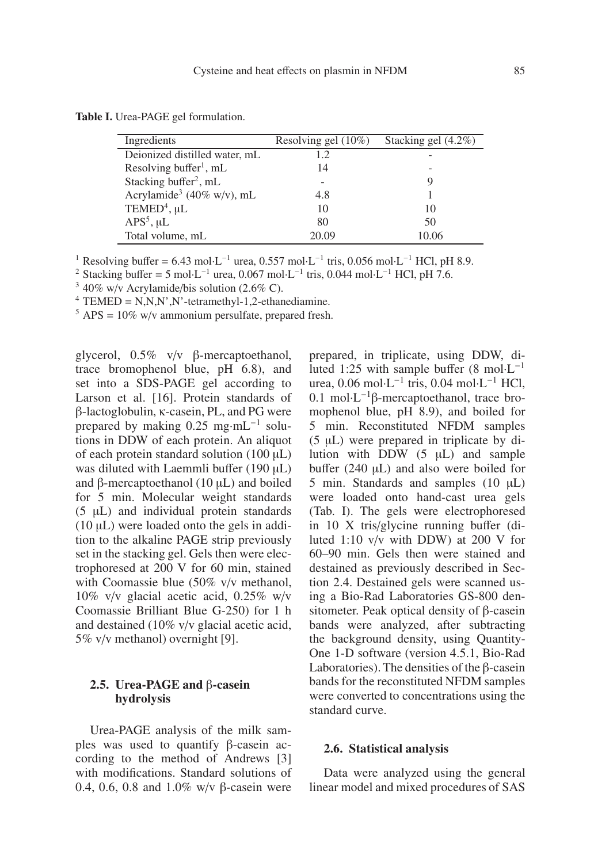**Table I.** Urea-PAGE gel formulation.

| Ingredients                           | Resolving gel $(10\%)$ | Stacking gel $(4.2\%)$ |
|---------------------------------------|------------------------|------------------------|
| Deionized distilled water, mL         | 1.2                    |                        |
| Resolving buffer <sup>1</sup> , mL    | 14                     |                        |
| Stacking buffer <sup>2</sup> , mL     |                        |                        |
| Acrylamide <sup>3</sup> (40% w/v), mL | 4.8                    |                        |
| TEMED <sup>4</sup> , $\mu$ L          | 10                     | 10                     |
| $APS^5, \mu L$                        | 80                     | 50                     |
| Total volume, mL                      | 20.09                  | 10.06                  |

<sup>1</sup> Resolving buffer = 6.43 mol·L<sup>−1</sup> urea, 0.557 mol·L<sup>−1</sup> tris, 0.056 mol·L<sup>−1</sup> HCl, pH 8.9.<br><sup>2</sup> Stacking buffer = 5 mol·L<sup>−1</sup> urea, 0.067 mol·L<sup>−1</sup> tris, 0.044 mol·L<sup>−1</sup> HCl, pH 7.6. <sup>3</sup> 40% w/v Acrylamide/bis solutio

 $4$  TEMED = N,N,N',N'-tetramethyl-1,2-ethanediamine.

 $5$  APS = 10% w/v ammonium persulfate, prepared fresh.

glycerol, 0.5% v/v β-mercaptoethanol, trace bromophenol blue, pH 6.8), and set into a SDS-PAGE gel according to Larson et al. [16]. Protein standards of β-lactoglobulin, κ-casein, PL, and PG were prepared by making  $0.25$  mg⋅mL<sup>-1</sup> solutions in DDW of each protein. An aliquot of each protein standard solution (100 μL) was diluted with Laemmli buffer (190 μL) and β-mercaptoethanol (10 μL) and boiled for 5 min. Molecular weight standards (5 μL) and individual protein standards (10 μL) were loaded onto the gels in addition to the alkaline PAGE strip previously set in the stacking gel. Gels then were electrophoresed at 200 V for 60 min, stained with Coomassie blue (50% v/v methanol, 10% v/v glacial acetic acid, 0.25% w/v Coomassie Brilliant Blue G-250) for 1 h and destained (10% v/v glacial acetic acid, 5% v/v methanol) overnight [9].

#### **2.5. Urea-PAGE and** β**-casein hydrolysis**

Urea-PAGE analysis of the milk samples was used to quantify β-casein according to the method of Andrews [3] with modifications. Standard solutions of 0.4, 0.6, 0.8 and 1.0% w/v β-casein were prepared, in triplicate, using DDW, diluted 1:25 with sample buffer (8 mol⋅L<sup>-1</sup> urea, 0.06 mol·L−<sup>1</sup> tris, 0.04 mol·L−<sup>1</sup> HCl, 0.1 mol·L−1β-mercaptoethanol, trace bromophenol blue, pH 8.9), and boiled for 5 min. Reconstituted NFDM samples (5 μL) were prepared in triplicate by dilution with DDW  $(5 \mu L)$  and sample buffer (240 μL) and also were boiled for 5 min. Standards and samples (10 μL) were loaded onto hand-cast urea gels (Tab. I). The gels were electrophoresed in 10 X tris/glycine running buffer (diluted 1:10 v/v with DDW) at 200 V for 60–90 min. Gels then were stained and destained as previously described in Section 2.4. Destained gels were scanned using a Bio-Rad Laboratories GS-800 densitometer. Peak optical density of β-casein bands were analyzed, after subtracting the background density, using Quantity-One 1-D software (version 4.5.1, Bio-Rad Laboratories). The densities of the β-casein bands for the reconstituted NFDM samples were converted to concentrations using the standard curve.

#### **2.6. Statistical analysis**

Data were analyzed using the general linear model and mixed procedures of SAS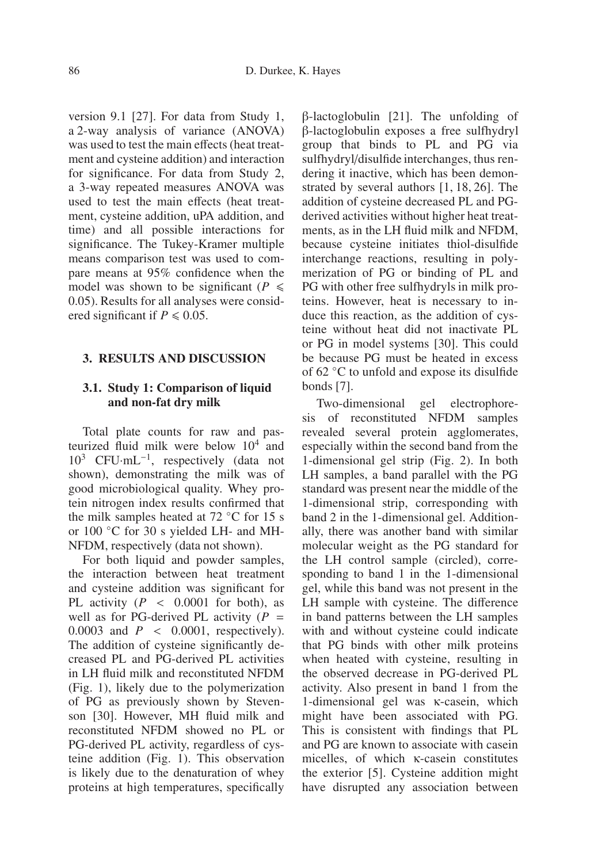version 9.1 [27]. For data from Study 1, a 2-way analysis of variance (ANOVA) was used to test the main effects (heat treatment and cysteine addition) and interaction for significance. For data from Study 2, a 3-way repeated measures ANOVA was used to test the main effects (heat treatment, cysteine addition, uPA addition, and time) and all possible interactions for significance. The Tukey-Kramer multiple means comparison test was used to compare means at 95% confidence when the model was shown to be significant ( $P \leq$ <sup>0</sup>.05). Results for all analyses were considered significant if  $P \le 0.05$ .

#### **3. RESULTS AND DISCUSSION**

#### **3.1. Study 1: Comparison of liquid and non-fat dry milk**

Total plate counts for raw and pasteurized fluid milk were below  $10<sup>4</sup>$  and 10<sup>3</sup> CFU·mL−1, respectively (data not shown), demonstrating the milk was of good microbiological quality. Whey protein nitrogen index results confirmed that the milk samples heated at 72 ◦C for 15 s or 100 ◦C for 30 s yielded LH- and MH-NFDM, respectively (data not shown).

For both liquid and powder samples, the interaction between heat treatment and cysteine addition was significant for PL activity  $(P \lt 0.0001$  for both), as well as for PG-derived PL activity  $(P =$ <sup>0</sup>.0003 and *<sup>P</sup>* < <sup>0</sup>.0001, respectively). The addition of cysteine significantly decreased PL and PG-derived PL activities in LH fluid milk and reconstituted NFDM (Fig. 1), likely due to the polymerization of PG as previously shown by Stevenson [30]. However, MH fluid milk and reconstituted NFDM showed no PL or PG-derived PL activity, regardless of cysteine addition (Fig. 1). This observation is likely due to the denaturation of whey proteins at high temperatures, specifically

β-lactoglobulin [21]. The unfolding of β-lactoglobulin exposes a free sulfhydryl group that binds to PL and PG via sulfhydryl/disulfide interchanges, thus rendering it inactive, which has been demonstrated by several authors [1, 18, 26]. The addition of cysteine decreased PL and PGderived activities without higher heat treatments, as in the LH fluid milk and NFDM, because cysteine initiates thiol-disulfide interchange reactions, resulting in polymerization of PG or binding of PL and PG with other free sulfhydryls in milk proteins. However, heat is necessary to induce this reaction, as the addition of cysteine without heat did not inactivate PL or PG in model systems [30]. This could be because PG must be heated in excess of 62 ◦C to unfold and expose its disulfide bonds [7].

Two-dimensional gel electrophoresis of reconstituted NFDM samples revealed several protein agglomerates, especially within the second band from the 1-dimensional gel strip (Fig. 2). In both LH samples, a band parallel with the PG standard was present near the middle of the 1-dimensional strip, corresponding with band 2 in the 1-dimensional gel. Additionally, there was another band with similar molecular weight as the PG standard for the LH control sample (circled), corresponding to band 1 in the 1-dimensional gel, while this band was not present in the LH sample with cysteine. The difference in band patterns between the LH samples with and without cysteine could indicate that PG binds with other milk proteins when heated with cysteine, resulting in the observed decrease in PG-derived PL activity. Also present in band 1 from the 1-dimensional gel was κ-casein, which might have been associated with PG. This is consistent with findings that PL and PG are known to associate with casein micelles, of which κ-casein constitutes the exterior [5]. Cysteine addition might have disrupted any association between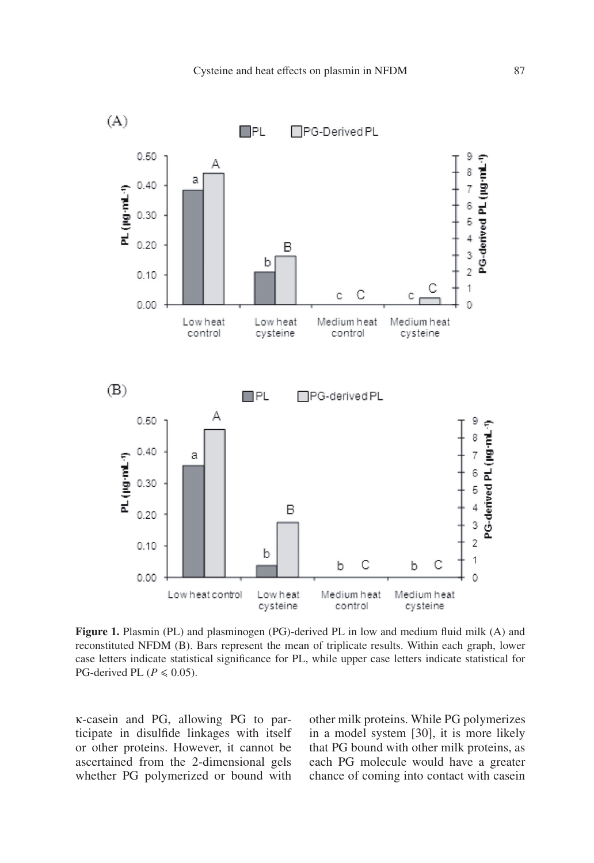

**Figure 1.** Plasmin (PL) and plasminogen (PG)-derived PL in low and medium fluid milk (A) and reconstituted NFDM (B). Bars represent the mean of triplicate results. Within each graph, lower case letters indicate statistical significance for PL, while upper case letters indicate statistical for PG-derived PL ( $P \le 0.05$ ).

κ-casein and PG, allowing PG to participate in disulfide linkages with itself or other proteins. However, it cannot be ascertained from the 2-dimensional gels whether PG polymerized or bound with other milk proteins. While PG polymerizes in a model system [30], it is more likely that PG bound with other milk proteins, as each PG molecule would have a greater chance of coming into contact with casein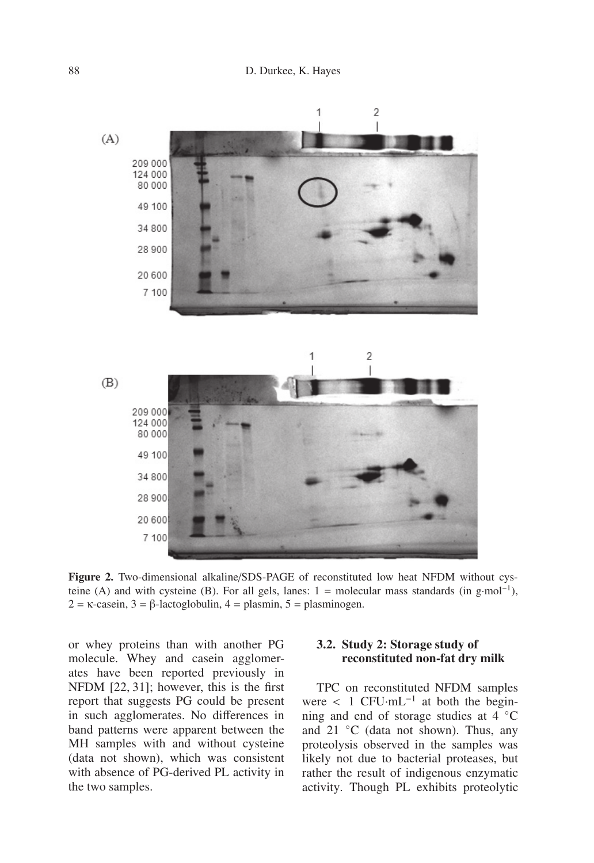

**Figure 2.** Two-dimensional alkaline/SDS-PAGE of reconstituted low heat NFDM without cysteine (A) and with cysteine (B). For all gels, lanes:  $1 = \text{molecular mass standards (in g·mol}^{-1})$ , 2 = κ-casein, 3 = β-lactoglobulin, 4 = plasmin, 5 = plasminogen.

or whey proteins than with another PG molecule. Whey and casein agglomerates have been reported previously in NFDM [22, 31]; however, this is the first report that suggests PG could be present in such agglomerates. No differences in band patterns were apparent between the MH samples with and without cysteine (data not shown), which was consistent with absence of PG-derived PL activity in the two samples.

#### **3.2. Study 2: Storage study of reconstituted non-fat dry milk**

TPC on reconstituted NFDM samples were < 1  $CFU·mL^{-1}$  at both the beginning and end of storage studies at 4 ◦C and 21 ◦C (data not shown). Thus, any proteolysis observed in the samples was likely not due to bacterial proteases, but rather the result of indigenous enzymatic activity. Though PL exhibits proteolytic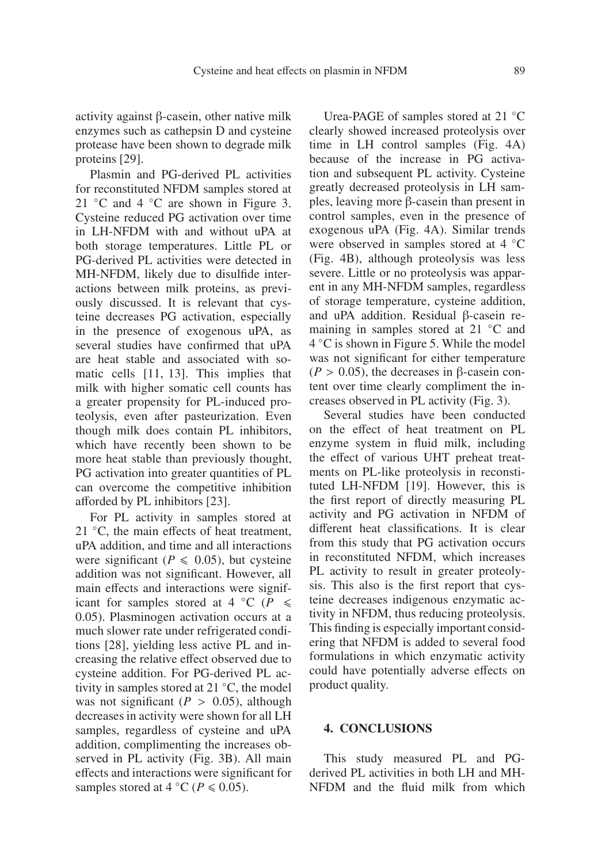activity against β-casein, other native milk enzymes such as cathepsin D and cysteine protease have been shown to degrade milk proteins [29].

Plasmin and PG-derived PL activities for reconstituted NFDM samples stored at 21  $\degree$ C and 4  $\degree$ C are shown in Figure 3. Cysteine reduced PG activation over time in LH-NFDM with and without uPA at both storage temperatures. Little PL or PG-derived PL activities were detected in MH-NFDM, likely due to disulfide interactions between milk proteins, as previously discussed. It is relevant that cysteine decreases PG activation, especially in the presence of exogenous uPA, as several studies have confirmed that uPA are heat stable and associated with somatic cells [11, 13]. This implies that milk with higher somatic cell counts has a greater propensity for PL-induced proteolysis, even after pasteurization. Even though milk does contain PL inhibitors, which have recently been shown to be more heat stable than previously thought, PG activation into greater quantities of PL can overcome the competitive inhibition afforded by PL inhibitors [23].

For PL activity in samples stored at 21 °C, the main effects of heat treatment, uPA addition, and time and all interactions were significant ( $P \le 0.05$ ), but cysteine addition was not significant However all addition was not significant. However, all main effects and interactions were significant for samples stored at 4  $°C$  ( $P \le$ <sup>0</sup>.05). Plasminogen activation occurs at a much slower rate under refrigerated conditions [28], yielding less active PL and increasing the relative effect observed due to cysteine addition. For PG-derived PL activity in samples stored at 21 ◦C, the model was not significant ( $P > 0.05$ ), although decreases in activity were shown for all LH samples, regardless of cysteine and uPA addition, complimenting the increases observed in PL activity (Fig. 3B). All main effects and interactions were significant for samples stored at  $4 °C$  ( $P \le 0.05$ ).

Urea-PAGE of samples stored at 21 ◦C clearly showed increased proteolysis over time in LH control samples (Fig. 4A) because of the increase in PG activation and subsequent PL activity. Cysteine greatly decreased proteolysis in LH samples, leaving more β-casein than present in control samples, even in the presence of exogenous uPA (Fig. 4A). Similar trends were observed in samples stored at 4 ◦C (Fig. 4B), although proteolysis was less severe. Little or no proteolysis was apparent in any MH-NFDM samples, regardless of storage temperature, cysteine addition, and uPA addition. Residual β-casein remaining in samples stored at 21 ◦C and 4 ◦C is shown in Figure 5. While the model was not significant for either temperature ( $P > 0.05$ ), the decreases in β-casein content over time clearly compliment the increases observed in PL activity (Fig. 3).

Several studies have been conducted on the effect of heat treatment on PL enzyme system in fluid milk, including the effect of various UHT preheat treatments on PL-like proteolysis in reconstituted LH-NFDM [19]. However, this is the first report of directly measuring PL activity and PG activation in NFDM of different heat classifications. It is clear from this study that PG activation occurs in reconstituted NFDM, which increases PL activity to result in greater proteolysis. This also is the first report that cysteine decreases indigenous enzymatic activity in NFDM, thus reducing proteolysis. This finding is especially important considering that NFDM is added to several food formulations in which enzymatic activity could have potentially adverse effects on product quality.

#### **4. CONCLUSIONS**

This study measured PL and PGderived PL activities in both LH and MH-NFDM and the fluid milk from which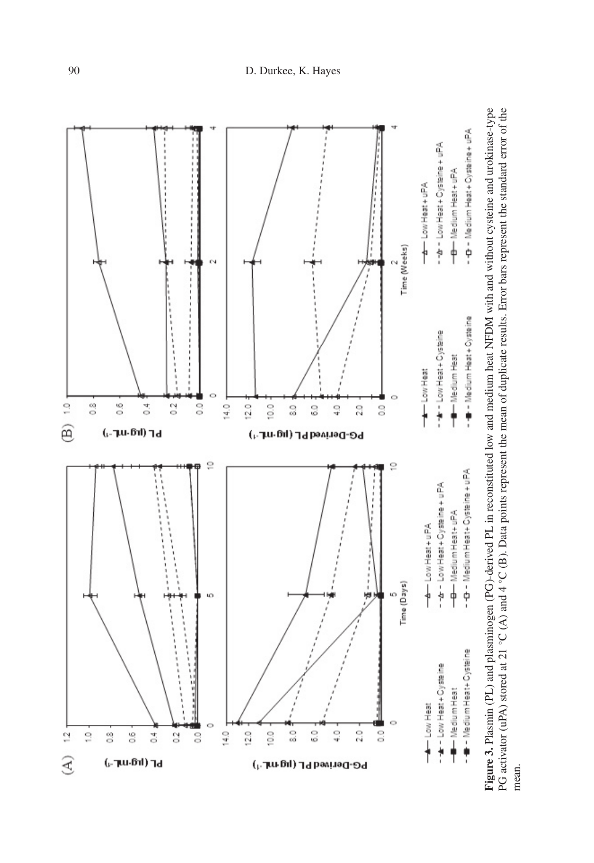

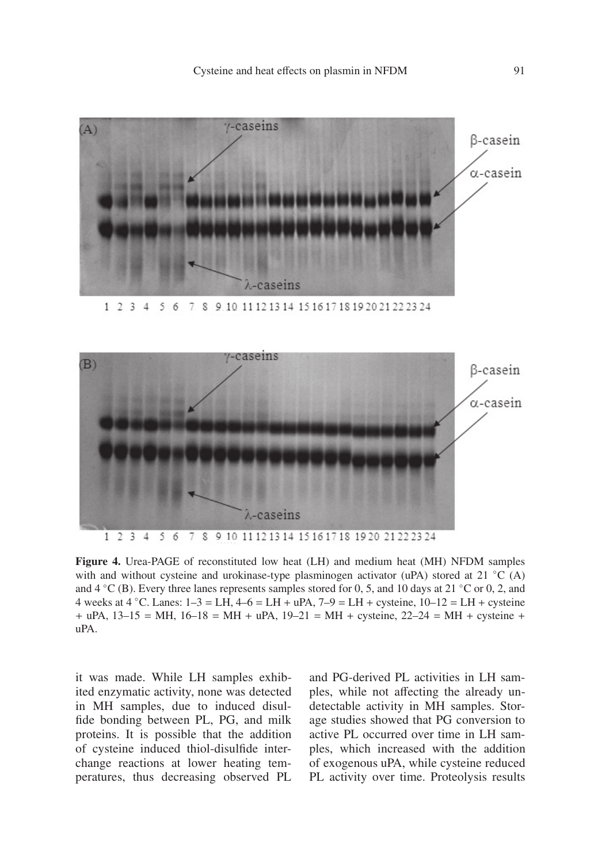

 $1, 2, 3, 4, 5, 6$ 7 8 9 10 11 12 13 14 15 16 17 18 19 20 21 22 23 24



**Figure 4.** Urea-PAGE of reconstituted low heat (LH) and medium heat (MH) NFDM samples with and without cysteine and urokinase-type plasminogen activator (uPA) stored at 21 ◦C (A) and  $4 °C$  (B). Every three lanes represents samples stored for 0, 5, and 10 days at 21  $°C$  or 0, 2, and 4 weeks at  $4 °C$ . Lanes:  $1-3 = LH$ ,  $4-6 = LH + uPA$ ,  $7-9 = LH + cysteine$ ,  $10-12 = LH + cysteine$ + uPA, 13–15 = MH, 16–18 = MH + uPA, 19–21 = MH + cysteine, 22–24 = MH + cysteine + uPA.

it was made. While LH samples exhibited enzymatic activity, none was detected in MH samples, due to induced disulfide bonding between PL, PG, and milk proteins. It is possible that the addition of cysteine induced thiol-disulfide interchange reactions at lower heating temperatures, thus decreasing observed PL and PG-derived PL activities in LH samples, while not affecting the already undetectable activity in MH samples. Storage studies showed that PG conversion to active PL occurred over time in LH samples, which increased with the addition of exogenous uPA, while cysteine reduced PL activity over time. Proteolysis results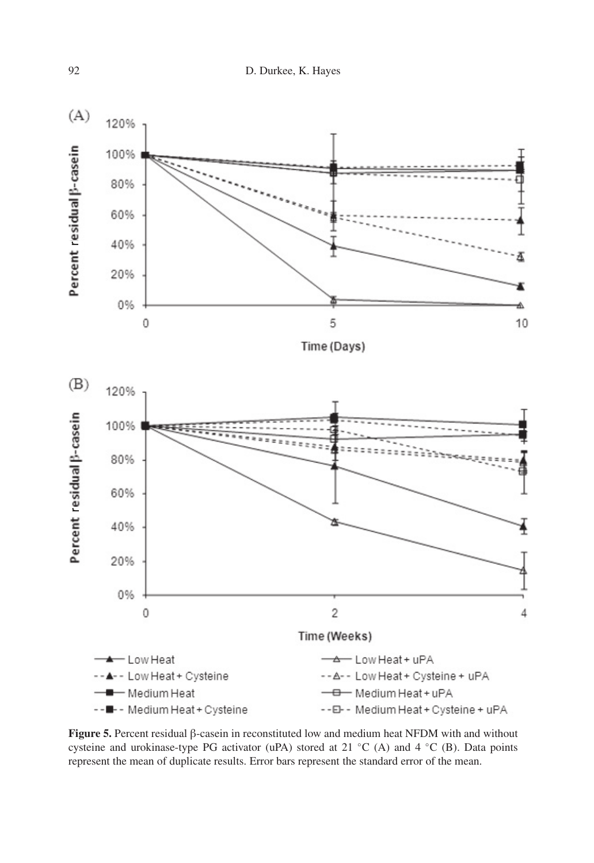

**Figure 5.** Percent residual β-casein in reconstituted low and medium heat NFDM with and without cysteine and urokinase-type PG activator (uPA) stored at 21 ◦C (A) and 4 ◦C (B). Data points represent the mean of duplicate results. Error bars represent the standard error of the mean.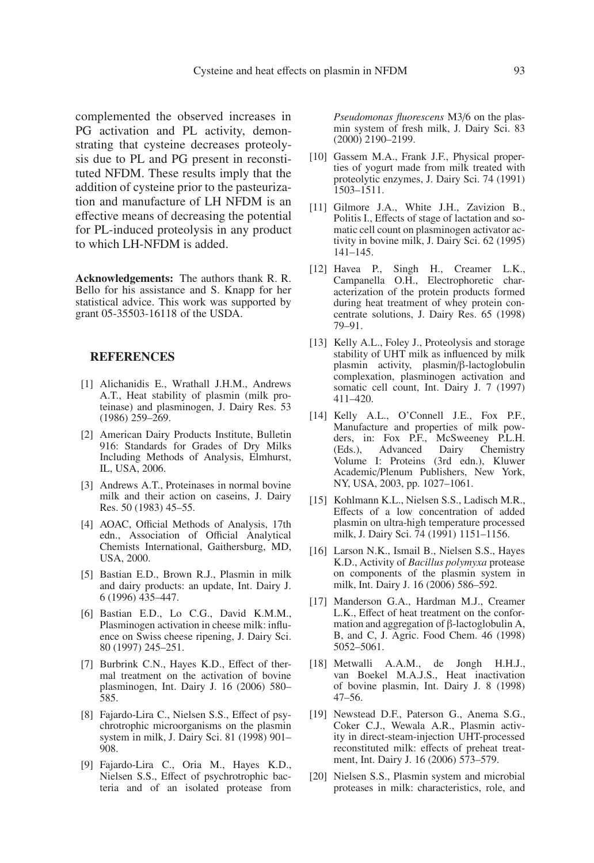complemented the observed increases in PG activation and PL activity, demonstrating that cysteine decreases proteolysis due to PL and PG present in reconstituted NFDM. These results imply that the addition of cysteine prior to the pasteurization and manufacture of LH NFDM is an effective means of decreasing the potential for PL-induced proteolysis in any product to which LH-NFDM is added.

**Acknowledgements:** The authors thank R. R. Bello for his assistance and S. Knapp for her statistical advice. This work was supported by grant 05-35503-16118 of the USDA.

#### **REFERENCES**

- [1] Alichanidis E., Wrathall J.H.M., Andrews A.T., Heat stability of plasmin (milk proteinase) and plasminogen, J. Dairy Res. 53 (1986) 259–269.
- [2] American Dairy Products Institute, Bulletin 916: Standards for Grades of Dry Milks Including Methods of Analysis, Elmhurst, IL, USA, 2006.
- [3] Andrews A.T., Proteinases in normal bovine milk and their action on caseins, J. Dairy Res. 50 (1983) 45–55.
- [4] AOAC, Official Methods of Analysis, 17th edn., Association of Official Analytical Chemists International, Gaithersburg, MD, USA, 2000.
- [5] Bastian E.D., Brown R.J., Plasmin in milk and dairy products: an update, Int. Dairy J. 6 (1996) 435–447.
- [6] Bastian E.D., Lo C.G., David K.M.M., Plasminogen activation in cheese milk: influence on Swiss cheese ripening, J. Dairy Sci. 80 (1997) 245–251.
- [7] Burbrink C.N., Hayes K.D., Effect of thermal treatment on the activation of bovine plasminogen, Int. Dairy J. 16 (2006) 580– 585.
- [8] Fajardo-Lira C., Nielsen S.S., Effect of psychrotrophic microorganisms on the plasmin system in milk, J. Dairy Sci. 81 (1998) 901– 908.
- [9] Fajardo-Lira C., Oria M., Hayes K.D., Nielsen S.S., Effect of psychrotrophic bacteria and of an isolated protease from

*Pseudomonas fluorescens* M3/6 on the plasmin system of fresh milk, J. Dairy Sci. 83 (2000) 2190–2199.

- [10] Gassem M.A., Frank J.F., Physical properties of yogurt made from milk treated with proteolytic enzymes, J. Dairy Sci. 74 (1991) 1503–1511.
- [11] Gilmore J.A., White J.H., Zavizion B., Politis I., Effects of stage of lactation and somatic cell count on plasminogen activator activity in bovine milk, J. Dairy Sci. 62 (1995) 141–145.
- [12] Havea P., Singh H., Creamer L.K., Campanella O.H., Electrophoretic characterization of the protein products formed during heat treatment of whey protein concentrate solutions, J. Dairy Res. 65 (1998) 79–91.
- [13] Kelly A.L., Foley J., Proteolysis and storage stability of UHT milk as influenced by milk plasmin activity, plasmin/β-lactoglobulin complexation, plasminogen activation and somatic cell count, Int. Dairy J. 7 (1997) 411–420.
- [14] Kelly A.L., O'Connell J.E., Fox P.F., Manufacture and properties of milk powders, in: Fox P.F., McSweeney P.L.H. (Eds.), Advanced Dairy Chemistry Volume I: Proteins (3rd edn.), Kluwer Academic/Plenum Publishers, New York, NY, USA, 2003, pp. 1027–1061.
- [15] Kohlmann K.L., Nielsen S.S., Ladisch M.R., Effects of a low concentration of added plasmin on ultra-high temperature processed milk, J. Dairy Sci. 74 (1991) 1151–1156.
- [16] Larson N.K., Ismail B., Nielsen S.S., Hayes K.D., Activity of *Bacillus polymyxa* protease on components of the plasmin system in milk, Int. Dairy J. 16 (2006) 586–592.
- [17] Manderson G.A., Hardman M.J., Creamer L.K., Effect of heat treatment on the conformation and aggregation of β-lactoglobulin A, B, and C, J. Agric. Food Chem. 46 (1998) 5052–5061.
- [18] Metwalli A.A.M., de Jongh H.H.J., van Boekel M.A.J.S., Heat inactivation of bovine plasmin, Int. Dairy J. 8 (1998) 47–56.
- [19] Newstead D.F., Paterson G., Anema S.G., Coker C.J., Wewala A.R., Plasmin activity in direct-steam-injection UHT-processed reconstituted milk: effects of preheat treatment, Int. Dairy J. 16 (2006) 573–579.
- [20] Nielsen S.S., Plasmin system and microbial proteases in milk: characteristics, role, and